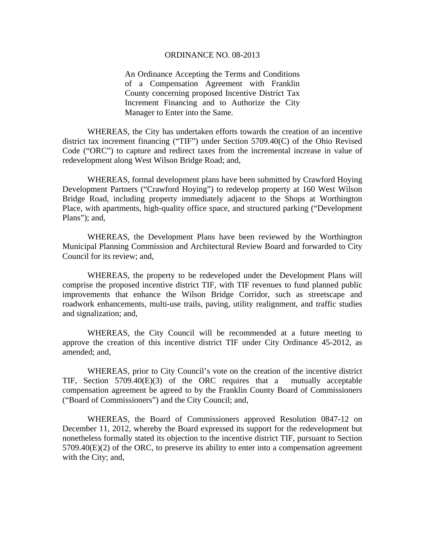#### ORDINANCE NO. 08-2013

An Ordinance Accepting the Terms and Conditions of a Compensation Agreement with Franklin County concerning proposed Incentive District Tax Increment Financing and to Authorize the City Manager to Enter into the Same.

WHEREAS, the City has undertaken efforts towards the creation of an incentive district tax increment financing ("TIF") under Section 5709.40(C) of the Ohio Revised Code ("ORC") to capture and redirect taxes from the incremental increase in value of redevelopment along West Wilson Bridge Road; and,

WHEREAS, formal development plans have been submitted by Crawford Hoying Development Partners ("Crawford Hoying") to redevelop property at 160 West Wilson Bridge Road, including property immediately adjacent to the Shops at Worthington Place, with apartments, high-quality office space, and structured parking ("Development Plans"); and,

WHEREAS, the Development Plans have been reviewed by the Worthington Municipal Planning Commission and Architectural Review Board and forwarded to City Council for its review; and,

WHEREAS, the property to be redeveloped under the Development Plans will comprise the proposed incentive district TIF, with TIF revenues to fund planned public improvements that enhance the Wilson Bridge Corridor, such as streetscape and roadwork enhancements, multi-use trails, paving, utility realignment, and traffic studies and signalization; and,

WHEREAS, the City Council will be recommended at a future meeting to approve the creation of this incentive district TIF under City Ordinance 45-2012, as amended; and,

WHEREAS, prior to City Council's vote on the creation of the incentive district TIF, Section 5709.40(E)(3) of the ORC requires that a mutually acceptable compensation agreement be agreed to by the Franklin County Board of Commissioners ("Board of Commissioners") and the City Council; and,

WHEREAS, the Board of Commissioners approved Resolution 0847-12 on December 11, 2012, whereby the Board expressed its support for the redevelopment but nonetheless formally stated its objection to the incentive district TIF, pursuant to Section  $5709.40(E)(2)$  of the ORC, to preserve its ability to enter into a compensation agreement with the City; and,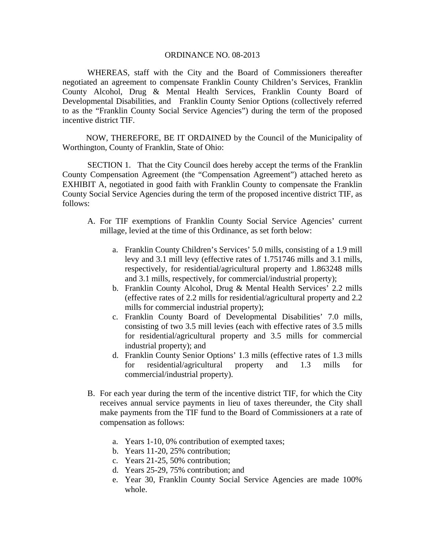#### ORDINANCE NO. 08-2013

WHEREAS, staff with the City and the Board of Commissioners thereafter negotiated an agreement to compensate Franklin County Children's Services, Franklin County Alcohol, Drug & Mental Health Services, Franklin County Board of Developmental Disabilities, and Franklin County Senior Options (collectively referred to as the "Franklin County Social Service Agencies") during the term of the proposed incentive district TIF.

 NOW, THEREFORE, BE IT ORDAINED by the Council of the Municipality of Worthington, County of Franklin, State of Ohio:

SECTION 1. That the City Council does hereby accept the terms of the Franklin County Compensation Agreement (the "Compensation Agreement") attached hereto as EXHIBIT A, negotiated in good faith with Franklin County to compensate the Franklin County Social Service Agencies during the term of the proposed incentive district TIF, as follows:

- A. For TIF exemptions of Franklin County Social Service Agencies' current millage, levied at the time of this Ordinance, as set forth below:
	- a. Franklin County Children's Services' 5.0 mills, consisting of a 1.9 mill levy and 3.1 mill levy (effective rates of 1.751746 mills and 3.1 mills, respectively, for residential/agricultural property and 1.863248 mills and 3.1 mills, respectively, for commercial/industrial property);
	- b. Franklin County Alcohol, Drug & Mental Health Services' 2.2 mills (effective rates of 2.2 mills for residential/agricultural property and 2.2 mills for commercial industrial property);
	- c. Franklin County Board of Developmental Disabilities' 7.0 mills, consisting of two 3.5 mill levies (each with effective rates of 3.5 mills for residential/agricultural property and 3.5 mills for commercial industrial property); and
	- d. Franklin County Senior Options' 1.3 mills (effective rates of 1.3 mills for residential/agricultural property and 1.3 mills for commercial/industrial property).
- B. For each year during the term of the incentive district TIF, for which the City receives annual service payments in lieu of taxes thereunder, the City shall make payments from the TIF fund to the Board of Commissioners at a rate of compensation as follows:
	- a. Years 1-10, 0% contribution of exempted taxes;
	- b. Years 11-20, 25% contribution;
	- c. Years 21-25, 50% contribution;
	- d. Years 25-29, 75% contribution; and
	- e. Year 30, Franklin County Social Service Agencies are made 100% whole.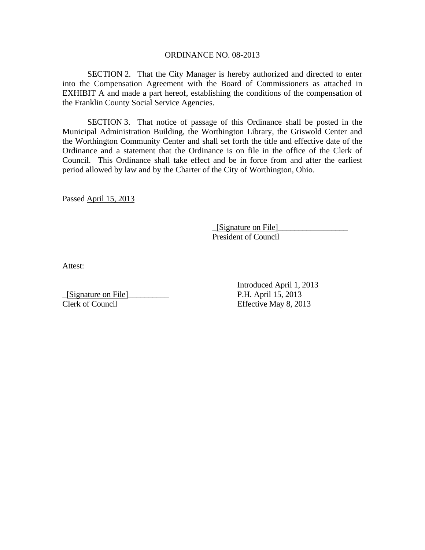#### ORDINANCE NO. 08-2013

SECTION 2. That the City Manager is hereby authorized and directed to enter into the Compensation Agreement with the Board of Commissioners as attached in EXHIBIT A and made a part hereof, establishing the conditions of the compensation of the Franklin County Social Service Agencies.

SECTION 3. That notice of passage of this Ordinance shall be posted in the Municipal Administration Building, the Worthington Library, the Griswold Center and the Worthington Community Center and shall set forth the title and effective date of the Ordinance and a statement that the Ordinance is on file in the office of the Clerk of Council. This Ordinance shall take effect and be in force from and after the earliest period allowed by law and by the Charter of the City of Worthington, Ohio.

Passed April 15, 2013

 \_[Signature on File]\_\_\_\_\_\_\_\_\_\_\_\_\_\_\_\_\_ President of Council

Attest:

\_[Signature on File]\_\_\_\_\_\_\_\_\_\_ P.H. April 15, 2013

 Introduced April 1, 2013 Clerk of Council Effective May 8, 2013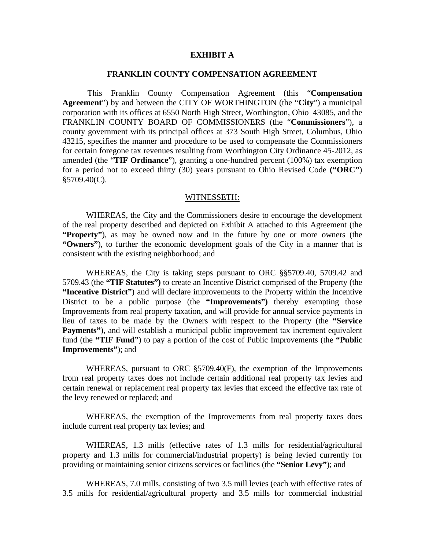### **EXHIBIT A**

#### **FRANKLIN COUNTY COMPENSATION AGREEMENT**

This Franklin County Compensation Agreement (this "**Compensation Agreement**") by and between the CITY OF WORTHINGTON (the "**City**") a municipal corporation with its offices at 6550 North High Street, Worthington, Ohio 43085, and the FRANKLIN COUNTY BOARD OF COMMISSIONERS (the "**Commissioners**"), a county government with its principal offices at 373 South High Street, Columbus, Ohio 43215, specifies the manner and procedure to be used to compensate the Commissioners for certain foregone tax revenues resulting from Worthington City Ordinance 45-2012, as amended (the "**TIF Ordinance**"), granting a one-hundred percent (100%) tax exemption for a period not to exceed thirty (30) years pursuant to Ohio Revised Code **("ORC"**)  $§5709.40(C)$ .

#### WITNESSETH:

 WHEREAS, the City and the Commissioners desire to encourage the development of the real property described and depicted on Exhibit A attached to this Agreement (the **"Property"**), as may be owned now and in the future by one or more owners (the **"Owners"**), to further the economic development goals of the City in a manner that is consistent with the existing neighborhood; and

 WHEREAS, the City is taking steps pursuant to ORC §§5709.40, 5709.42 and 5709.43 (the **"TIF Statutes")** to create an Incentive District comprised of the Property (the **"Incentive District"**) and will declare improvements to the Property within the Incentive District to be a public purpose (the **"Improvements")** thereby exempting those Improvements from real property taxation, and will provide for annual service payments in lieu of taxes to be made by the Owners with respect to the Property (the **"Service Payments''**), and will establish a municipal public improvement tax increment equivalent fund (the **"TIF Fund"**) to pay a portion of the cost of Public Improvements (the **"Public Improvements"**); and

 WHEREAS, pursuant to ORC §5709.40(F), the exemption of the Improvements from real property taxes does not include certain additional real property tax levies and certain renewal or replacement real property tax levies that exceed the effective tax rate of the levy renewed or replaced; and

 WHEREAS, the exemption of the Improvements from real property taxes does include current real property tax levies; and

 WHEREAS, 1.3 mills (effective rates of 1.3 mills for residential/agricultural property and 1.3 mills for commercial/industrial property) is being levied currently for providing or maintaining senior citizens services or facilities (the **"Senior Levy"**); and

 WHEREAS, 7.0 mills, consisting of two 3.5 mill levies (each with effective rates of 3.5 mills for residential/agricultural property and 3.5 mills for commercial industrial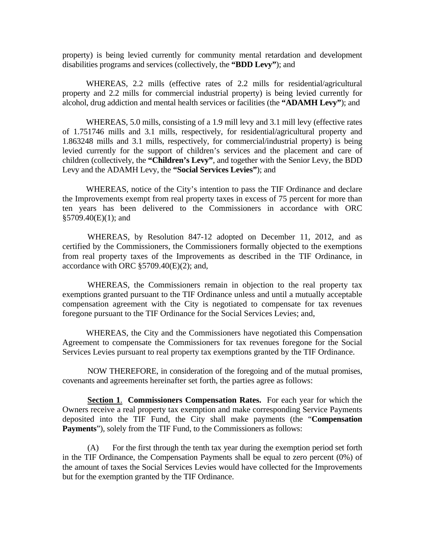property) is being levied currently for community mental retardation and development disabilities programs and services (collectively, the **"BDD Levy"**); and

 WHEREAS, 2.2 mills (effective rates of 2.2 mills for residential/agricultural property and 2.2 mills for commercial industrial property) is being levied currently for alcohol, drug addiction and mental health services or facilities (the **"ADAMH Levy"**); and

 WHEREAS, 5.0 mills, consisting of a 1.9 mill levy and 3.1 mill levy (effective rates of 1.751746 mills and 3.1 mills, respectively, for residential/agricultural property and 1.863248 mills and 3.1 mills, respectively, for commercial/industrial property) is being levied currently for the support of children's services and the placement and care of children (collectively, the **"Children's Levy"**, and together with the Senior Levy, the BDD Levy and the ADAMH Levy, the **"Social Services Levies"**); and

 WHEREAS, notice of the City's intention to pass the TIF Ordinance and declare the Improvements exempt from real property taxes in excess of 75 percent for more than ten years has been delivered to the Commissioners in accordance with ORC §5709.40(E)(1); and

 WHEREAS, by Resolution 847-12 adopted on December 11, 2012, and as certified by the Commissioners, the Commissioners formally objected to the exemptions from real property taxes of the Improvements as described in the TIF Ordinance, in accordance with ORC §5709.40(E)(2); and,

WHEREAS, the Commissioners remain in objection to the real property tax exemptions granted pursuant to the TIF Ordinance unless and until a mutually acceptable compensation agreement with the City is negotiated to compensate for tax revenues foregone pursuant to the TIF Ordinance for the Social Services Levies; and,

 WHEREAS, the City and the Commissioners have negotiated this Compensation Agreement to compensate the Commissioners for tax revenues foregone for the Social Services Levies pursuant to real property tax exemptions granted by the TIF Ordinance.

NOW THEREFORE, in consideration of the foregoing and of the mutual promises, covenants and agreements hereinafter set forth, the parties agree as follows:

**Section 1**. **Commissioners Compensation Rates.** For each year for which the Owners receive a real property tax exemption and make corresponding Service Payments deposited into the TIF Fund, the City shall make payments (the "**Compensation Payments**"), solely from the TIF Fund, to the Commissioners as follows:

(A) For the first through the tenth tax year during the exemption period set forth in the TIF Ordinance, the Compensation Payments shall be equal to zero percent (0%) of the amount of taxes the Social Services Levies would have collected for the Improvements but for the exemption granted by the TIF Ordinance.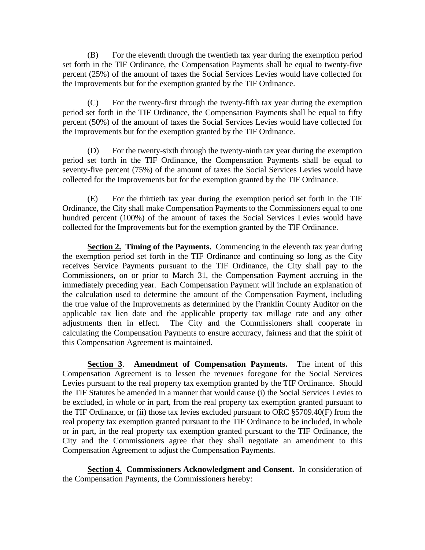(B) For the eleventh through the twentieth tax year during the exemption period set forth in the TIF Ordinance, the Compensation Payments shall be equal to twenty-five percent (25%) of the amount of taxes the Social Services Levies would have collected for the Improvements but for the exemption granted by the TIF Ordinance.

(C) For the twenty-first through the twenty-fifth tax year during the exemption period set forth in the TIF Ordinance, the Compensation Payments shall be equal to fifty percent (50%) of the amount of taxes the Social Services Levies would have collected for the Improvements but for the exemption granted by the TIF Ordinance.

(D) For the twenty-sixth through the twenty-ninth tax year during the exemption period set forth in the TIF Ordinance, the Compensation Payments shall be equal to seventy-five percent (75%) of the amount of taxes the Social Services Levies would have collected for the Improvements but for the exemption granted by the TIF Ordinance.

(E) For the thirtieth tax year during the exemption period set forth in the TIF Ordinance, the City shall make Compensation Payments to the Commissioners equal to one hundred percent (100%) of the amount of taxes the Social Services Levies would have collected for the Improvements but for the exemption granted by the TIF Ordinance.

**Section 2. Timing of the Payments.** Commencing in the eleventh tax year during the exemption period set forth in the TIF Ordinance and continuing so long as the City receives Service Payments pursuant to the TIF Ordinance, the City shall pay to the Commissioners, on or prior to March 31, the Compensation Payment accruing in the immediately preceding year. Each Compensation Payment will include an explanation of the calculation used to determine the amount of the Compensation Payment, including the true value of the Improvements as determined by the Franklin County Auditor on the applicable tax lien date and the applicable property tax millage rate and any other adjustments then in effect. The City and the Commissioners shall cooperate in calculating the Compensation Payments to ensure accuracy, fairness and that the spirit of this Compensation Agreement is maintained.

**Section 3**. **Amendment of Compensation Payments.** The intent of this Compensation Agreement is to lessen the revenues foregone for the Social Services Levies pursuant to the real property tax exemption granted by the TIF Ordinance. Should the TIF Statutes be amended in a manner that would cause (i) the Social Services Levies to be excluded, in whole or in part, from the real property tax exemption granted pursuant to the TIF Ordinance, or (ii) those tax levies excluded pursuant to ORC §5709.40(F) from the real property tax exemption granted pursuant to the TIF Ordinance to be included, in whole or in part, in the real property tax exemption granted pursuant to the TIF Ordinance, the City and the Commissioners agree that they shall negotiate an amendment to this Compensation Agreement to adjust the Compensation Payments.

**Section 4**. **Commissioners Acknowledgment and Consent.** In consideration of the Compensation Payments, the Commissioners hereby: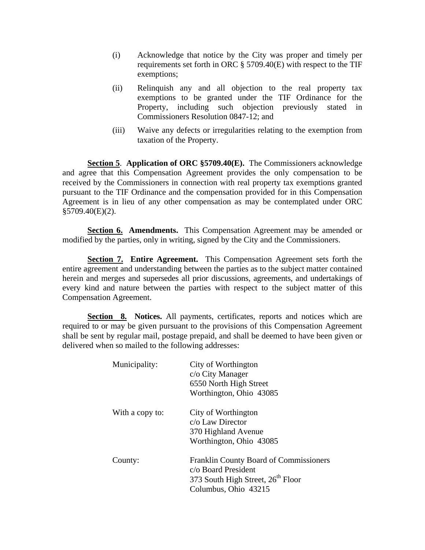- (i) Acknowledge that notice by the City was proper and timely per requirements set forth in ORC § 5709.40(E) with respect to the TIF exemptions;
- (ii) Relinquish any and all objection to the real property tax exemptions to be granted under the TIF Ordinance for the Property, including such objection previously stated in Commissioners Resolution 0847-12; and
- (iii) Waive any defects or irregularities relating to the exemption from taxation of the Property.

**Section 5**. **Application of ORC §5709.40(E).** The Commissioners acknowledge and agree that this Compensation Agreement provides the only compensation to be received by the Commissioners in connection with real property tax exemptions granted pursuant to the TIF Ordinance and the compensation provided for in this Compensation Agreement is in lieu of any other compensation as may be contemplated under ORC  $§5709.40(E)(2).$ 

**Section 6. Amendments.** This Compensation Agreement may be amended or modified by the parties, only in writing, signed by the City and the Commissioners.

**Section 7. Entire Agreement.** This Compensation Agreement sets forth the entire agreement and understanding between the parties as to the subject matter contained herein and merges and supersedes all prior discussions, agreements, and undertakings of every kind and nature between the parties with respect to the subject matter of this Compensation Agreement.

**Section 8.** Notices. All payments, certificates, reports and notices which are required to or may be given pursuant to the provisions of this Compensation Agreement shall be sent by regular mail, postage prepaid, and shall be deemed to have been given or delivered when so mailed to the following addresses:

| Municipality:   | City of Worthington<br>c/o City Manager<br>6550 North High Street<br>Worthington, Ohio 43085                                                  |
|-----------------|-----------------------------------------------------------------------------------------------------------------------------------------------|
| With a copy to: | City of Worthington<br>$c/\sigma$ Law Director<br>370 Highland Avenue<br>Worthington, Ohio 43085                                              |
| County:         | <b>Franklin County Board of Commissioners</b><br>c/o Board President<br>373 South High Street, 26 <sup>th</sup> Floor<br>Columbus, Ohio 43215 |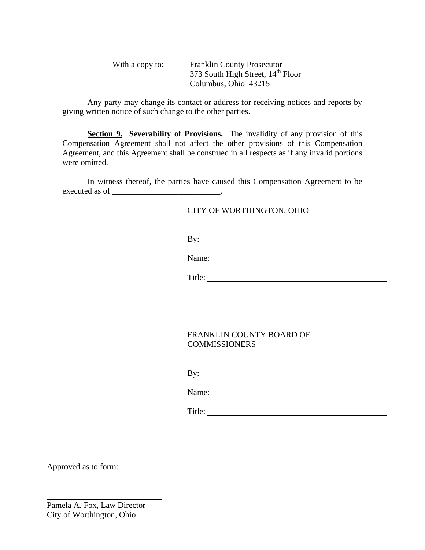| With a copy to: | <b>Franklin County Prosecutor</b>             |
|-----------------|-----------------------------------------------|
|                 | 373 South High Street, 14 <sup>th</sup> Floor |
|                 | Columbus, Ohio 43215                          |

Any party may change its contact or address for receiving notices and reports by giving written notice of such change to the other parties.

**Section 9. Severability of Provisions.** The invalidity of any provision of this Compensation Agreement shall not affect the other provisions of this Compensation Agreement, and this Agreement shall be construed in all respects as if any invalid portions were omitted.

In witness thereof, the parties have caused this Compensation Agreement to be executed as of \_\_\_\_\_\_\_\_\_\_\_\_\_\_\_\_\_\_\_\_\_\_\_\_\_\_.

### CITY OF WORTHINGTON, OHIO

By:

Name:

Title: Title: Title: Title: Title: Title: Title: Title: Title: Title: Title: Title: Title: Title: Title: Title: Title: Title: Title: Title: Title: Title: Title: Title: Title: Title: Title: Title: Title: Title: Title: Title

## FRANKLIN COUNTY BOARD OF COMMISSIONERS

By:

Name:

Title:

Approved as to form:

 $\overline{a}$